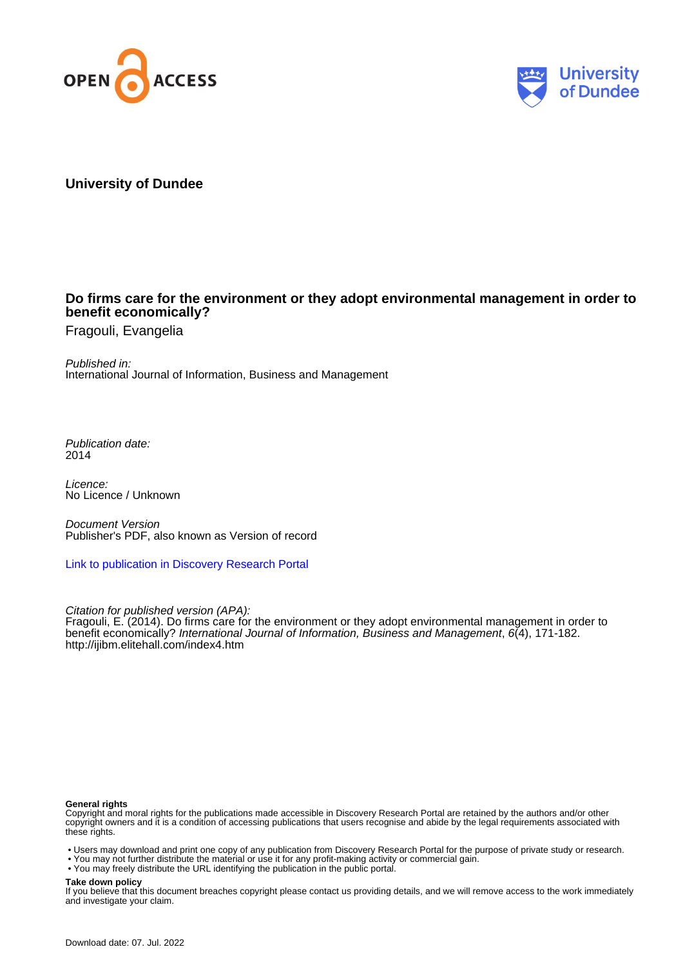



# **University of Dundee**

# **Do firms care for the environment or they adopt environmental management in order to benefit economically?**

Fragouli, Evangelia

Published in: International Journal of Information, Business and Management

Publication date: 2014

Licence: No Licence / Unknown

Document Version Publisher's PDF, also known as Version of record

[Link to publication in Discovery Research Portal](https://discovery.dundee.ac.uk/en/publications/ebedec59-8379-4538-9c0d-7306eb5b7e4c)

Citation for published version (APA): Fragouli, E. (2014). Do firms care for the environment or they adopt environmental management in order to benefit economically? International Journal of Information, Business and Management, 6(4), 171-182. <http://ijibm.elitehall.com/index4.htm>

#### **General rights**

Copyright and moral rights for the publications made accessible in Discovery Research Portal are retained by the authors and/or other copyright owners and it is a condition of accessing publications that users recognise and abide by the legal requirements associated with these rights.

• Users may download and print one copy of any publication from Discovery Research Portal for the purpose of private study or research.

- You may not further distribute the material or use it for any profit-making activity or commercial gain.
- You may freely distribute the URL identifying the publication in the public portal.

#### **Take down policy**

If you believe that this document breaches copyright please contact us providing details, and we will remove access to the work immediately and investigate your claim.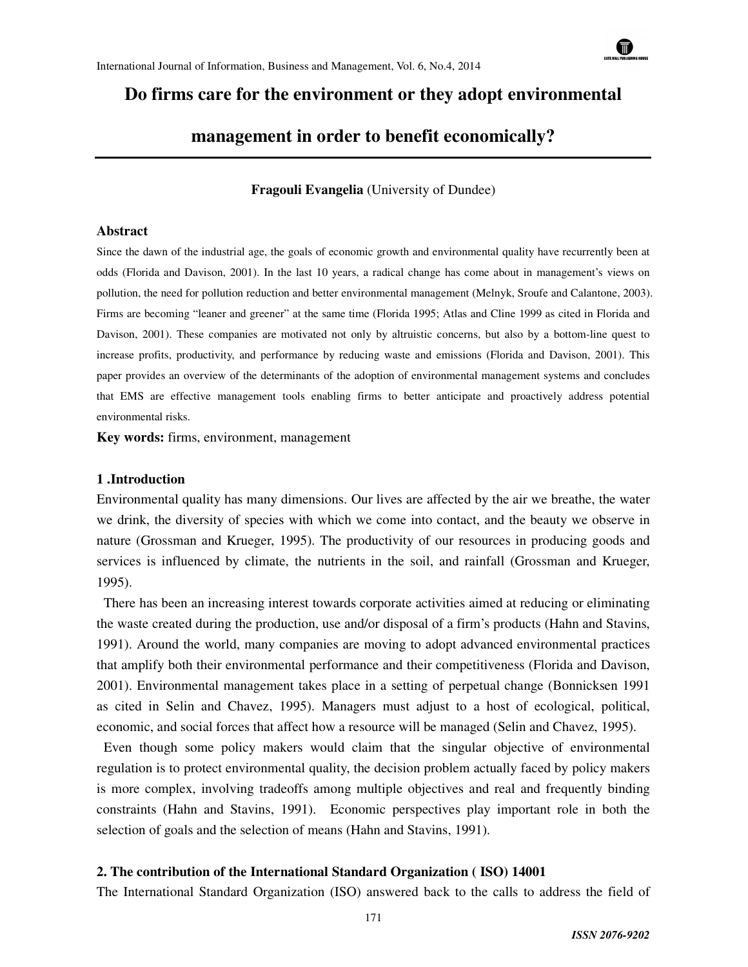

# **Do firms care for the environment or they adopt environmental**

# **management in order to benefit economically?**

**Fragouli Evangelia** (University of Dundee)

#### **Abstract**

Since the dawn of the industrial age, the goals of economic growth and environmental quality have recurrently been at odds (Florida and Davison, 2001). In the last 10 years, a radical change has come about in management's views on pollution, the need for pollution reduction and better environmental management (Melnyk, Sroufe and Calantone, 2003). Firms are becoming "leaner and greener" at the same time (Florida 1995; Atlas and Cline 1999 as cited in Florida and Davison, 2001). These companies are motivated not only by altruistic concerns, but also by a bottom-line quest to increase profits, productivity, and performance by reducing waste and emissions (Florida and Davison, 2001). This paper provides an overview of the determinants of the adoption of environmental management systems and concludes that EMS are effective management tools enabling firms to better anticipate and proactively address potential environmental risks.

**Key words:** firms, environment, management

#### **1 .Introduction**

Environmental quality has many dimensions. Our lives are affected by the air we breathe, the water we drink, the diversity of species with which we come into contact, and the beauty we observe in nature (Grossman and Krueger, 1995). The productivity of our resources in producing goods and services is influenced by climate, the nutrients in the soil, and rainfall (Grossman and Krueger, 1995).

 There has been an increasing interest towards corporate activities aimed at reducing or eliminating the waste created during the production, use and/or disposal of a firm's products (Hahn and Stavins, 1991). Around the world, many companies are moving to adopt advanced environmental practices that amplify both their environmental performance and their competitiveness (Florida and Davison, 2001). Environmental management takes place in a setting of perpetual change (Bonnicksen 1991 as cited in Selin and Chavez, 1995). Managers must adjust to a host of ecological, political, economic, and social forces that affect how a resource will be managed (Selin and Chavez, 1995).

 Even though some policy makers would claim that the singular objective of environmental regulation is to protect environmental quality, the decision problem actually faced by policy makers is more complex, involving tradeoffs among multiple objectives and real and frequently binding constraints (Hahn and Stavins, 1991). Economic perspectives play important role in both the selection of goals and the selection of means (Hahn and Stavins, 1991).

#### **2. The contribution of the International Standard Organization ( ISO) 14001**

The International Standard Organization (ISO) answered back to the calls to address the field of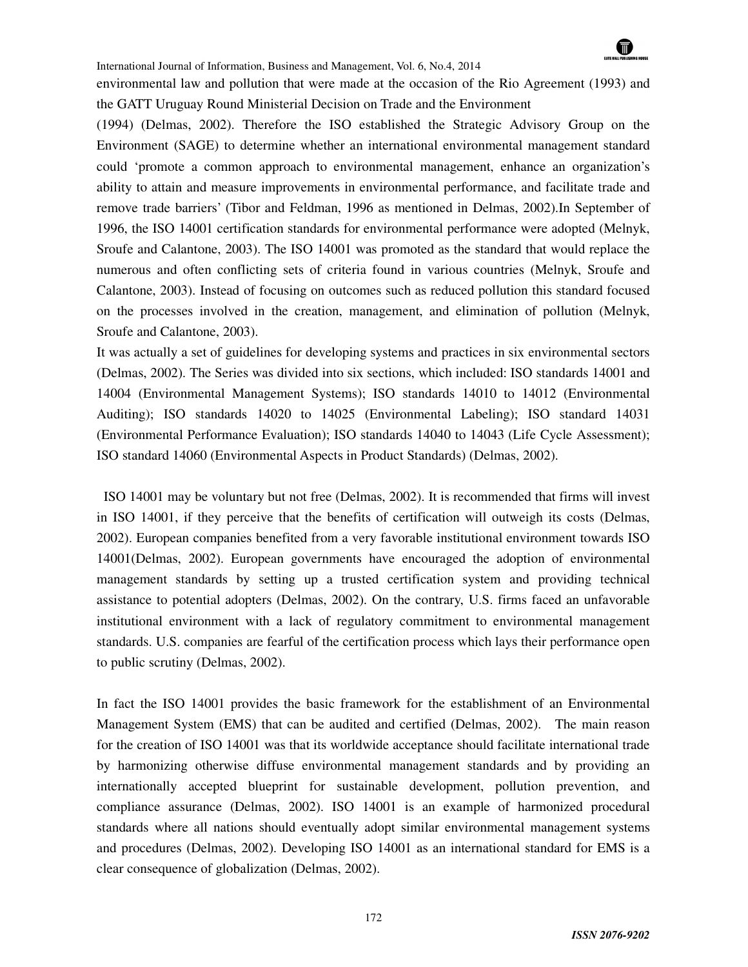

environmental law and pollution that were made at the occasion of the Rio Agreement (1993) and the GATT Uruguay Round Ministerial Decision on Trade and the Environment

(1994) (Delmas, 2002). Therefore the ISO established the Strategic Advisory Group on the Environment (SAGE) to determine whether an international environmental management standard could 'promote a common approach to environmental management, enhance an organization's ability to attain and measure improvements in environmental performance, and facilitate trade and remove trade barriers' (Tibor and Feldman, 1996 as mentioned in Delmas, 2002).In September of 1996, the ISO 14001 certification standards for environmental performance were adopted (Melnyk, Sroufe and Calantone, 2003). The ISO 14001 was promoted as the standard that would replace the numerous and often conflicting sets of criteria found in various countries (Melnyk, Sroufe and Calantone, 2003). Instead of focusing on outcomes such as reduced pollution this standard focused on the processes involved in the creation, management, and elimination of pollution (Melnyk, Sroufe and Calantone, 2003).

It was actually a set of guidelines for developing systems and practices in six environmental sectors (Delmas, 2002). The Series was divided into six sections, which included: ISO standards 14001 and 14004 (Environmental Management Systems); ISO standards 14010 to 14012 (Environmental Auditing); ISO standards 14020 to 14025 (Environmental Labeling); ISO standard 14031 (Environmental Performance Evaluation); ISO standards 14040 to 14043 (Life Cycle Assessment); ISO standard 14060 (Environmental Aspects in Product Standards) (Delmas, 2002).

 ISO 14001 may be voluntary but not free (Delmas, 2002). It is recommended that firms will invest in ISO 14001, if they perceive that the benefits of certification will outweigh its costs (Delmas, 2002). European companies benefited from a very favorable institutional environment towards ISO 14001(Delmas, 2002). European governments have encouraged the adoption of environmental management standards by setting up a trusted certification system and providing technical assistance to potential adopters (Delmas, 2002). On the contrary, U.S. firms faced an unfavorable institutional environment with a lack of regulatory commitment to environmental management standards. U.S. companies are fearful of the certification process which lays their performance open to public scrutiny (Delmas, 2002).

In fact the ISO 14001 provides the basic framework for the establishment of an Environmental Management System (EMS) that can be audited and certified (Delmas, 2002). The main reason for the creation of ISO 14001 was that its worldwide acceptance should facilitate international trade by harmonizing otherwise diffuse environmental management standards and by providing an internationally accepted blueprint for sustainable development, pollution prevention, and compliance assurance (Delmas, 2002). ISO 14001 is an example of harmonized procedural standards where all nations should eventually adopt similar environmental management systems and procedures (Delmas, 2002). Developing ISO 14001 as an international standard for EMS is a clear consequence of globalization (Delmas, 2002).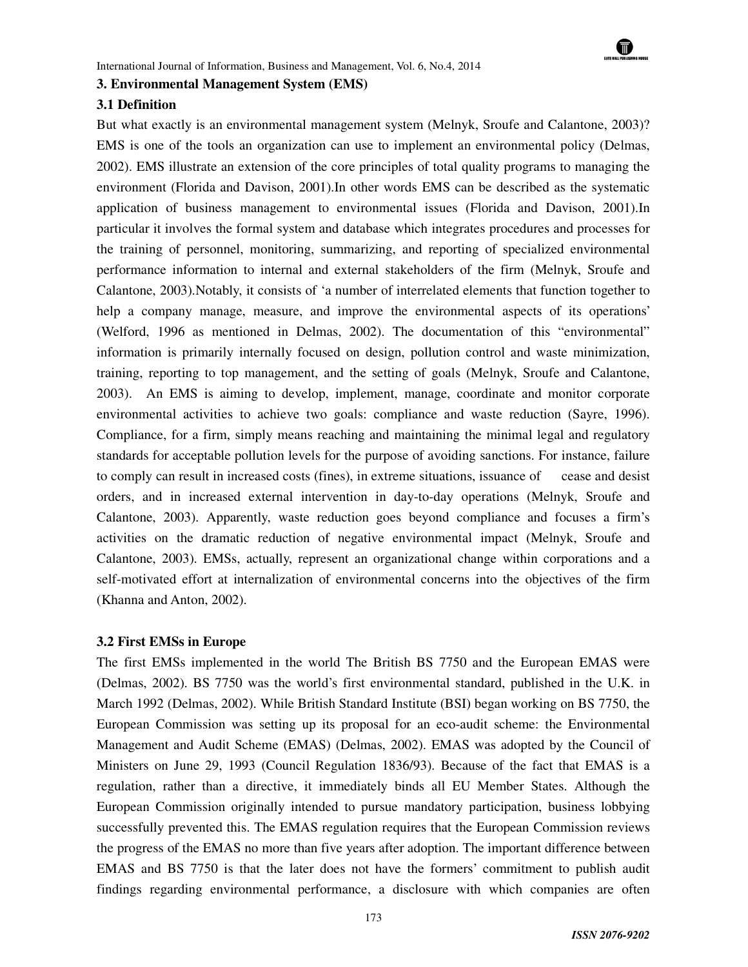

#### **3. Environmental Management System (EMS)**

#### **3.1 Definition**

But what exactly is an environmental management system (Melnyk, Sroufe and Calantone, 2003)? EMS is one of the tools an organization can use to implement an environmental policy (Delmas, 2002). EMS illustrate an extension of the core principles of total quality programs to managing the environment (Florida and Davison, 2001).In other words EMS can be described as the systematic application of business management to environmental issues (Florida and Davison, 2001).In particular it involves the formal system and database which integrates procedures and processes for the training of personnel, monitoring, summarizing, and reporting of specialized environmental performance information to internal and external stakeholders of the firm (Melnyk, Sroufe and Calantone, 2003).Notably, it consists of 'a number of interrelated elements that function together to help a company manage, measure, and improve the environmental aspects of its operations' (Welford, 1996 as mentioned in Delmas, 2002). The documentation of this "environmental" information is primarily internally focused on design, pollution control and waste minimization, training, reporting to top management, and the setting of goals (Melnyk, Sroufe and Calantone, 2003). An EMS is aiming to develop, implement, manage, coordinate and monitor corporate environmental activities to achieve two goals: compliance and waste reduction (Sayre, 1996). Compliance, for a firm, simply means reaching and maintaining the minimal legal and regulatory standards for acceptable pollution levels for the purpose of avoiding sanctions. For instance, failure to comply can result in increased costs (fines), in extreme situations, issuance of cease and desist orders, and in increased external intervention in day-to-day operations (Melnyk, Sroufe and Calantone, 2003). Apparently, waste reduction goes beyond compliance and focuses a firm's activities on the dramatic reduction of negative environmental impact (Melnyk, Sroufe and Calantone, 2003). EMSs, actually, represent an organizational change within corporations and a self-motivated effort at internalization of environmental concerns into the objectives of the firm (Khanna and Anton, 2002).

#### **3.2 First EMSs in Europe**

The first EMSs implemented in the world The British BS 7750 and the European EMAS were (Delmas, 2002). BS 7750 was the world's first environmental standard, published in the U.K. in March 1992 (Delmas, 2002). While British Standard Institute (BSI) began working on BS 7750, the European Commission was setting up its proposal for an eco-audit scheme: the Environmental Management and Audit Scheme (EMAS) (Delmas, 2002). EMAS was adopted by the Council of Ministers on June 29, 1993 (Council Regulation 1836/93). Because of the fact that EMAS is a regulation, rather than a directive, it immediately binds all EU Member States. Although the European Commission originally intended to pursue mandatory participation, business lobbying successfully prevented this. The EMAS regulation requires that the European Commission reviews the progress of the EMAS no more than five years after adoption. The important difference between EMAS and BS 7750 is that the later does not have the formers' commitment to publish audit findings regarding environmental performance, a disclosure with which companies are often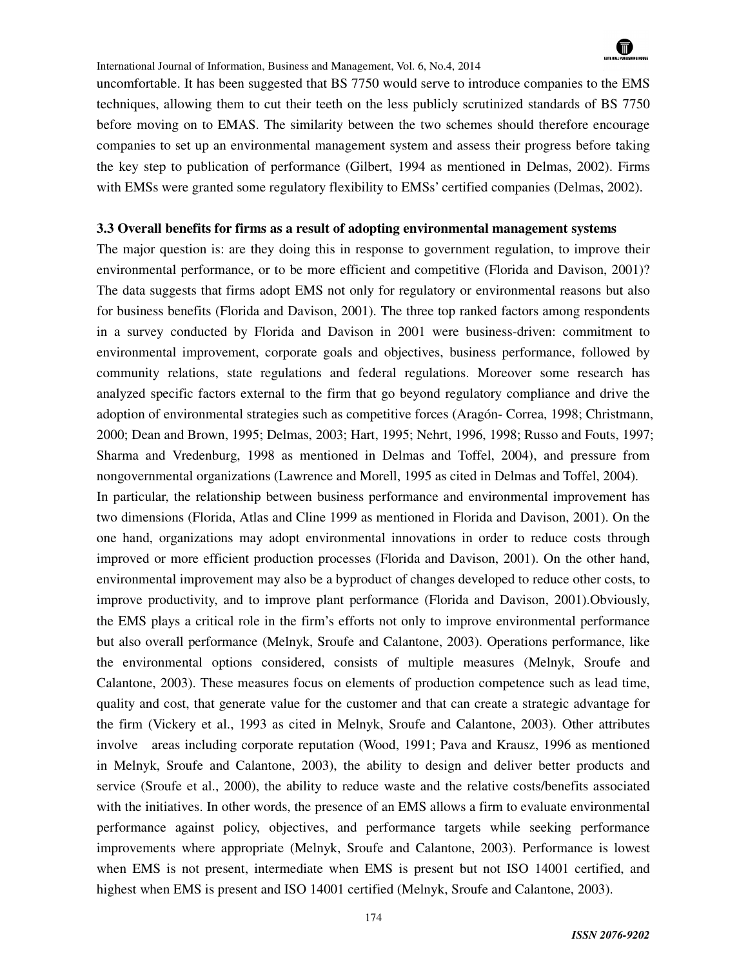# $\blacksquare$

#### International Journal of Information, Business and Management, Vol. 6, No.4, 2014

uncomfortable. It has been suggested that BS 7750 would serve to introduce companies to the EMS techniques, allowing them to cut their teeth on the less publicly scrutinized standards of BS 7750 before moving on to EMAS. The similarity between the two schemes should therefore encourage companies to set up an environmental management system and assess their progress before taking the key step to publication of performance (Gilbert, 1994 as mentioned in Delmas, 2002). Firms with EMSs were granted some regulatory flexibility to EMSs' certified companies (Delmas, 2002).

#### **3.3 Overall benefits for firms as a result of adopting environmental management systems**

The major question is: are they doing this in response to government regulation, to improve their environmental performance, or to be more efficient and competitive (Florida and Davison, 2001)? The data suggests that firms adopt EMS not only for regulatory or environmental reasons but also for business benefits (Florida and Davison, 2001). The three top ranked factors among respondents in a survey conducted by Florida and Davison in 2001 were business-driven: commitment to environmental improvement, corporate goals and objectives, business performance, followed by community relations, state regulations and federal regulations. Moreover some research has analyzed specific factors external to the firm that go beyond regulatory compliance and drive the adoption of environmental strategies such as competitive forces (Aragón- Correa, 1998; Christmann, 2000; Dean and Brown, 1995; Delmas, 2003; Hart, 1995; Nehrt, 1996, 1998; Russo and Fouts, 1997; Sharma and Vredenburg, 1998 as mentioned in Delmas and Toffel, 2004), and pressure from nongovernmental organizations (Lawrence and Morell, 1995 as cited in Delmas and Toffel, 2004).

In particular, the relationship between business performance and environmental improvement has two dimensions (Florida, Atlas and Cline 1999 as mentioned in Florida and Davison, 2001). On the one hand, organizations may adopt environmental innovations in order to reduce costs through improved or more efficient production processes (Florida and Davison, 2001). On the other hand, environmental improvement may also be a byproduct of changes developed to reduce other costs, to improve productivity, and to improve plant performance (Florida and Davison, 2001).Obviously, the EMS plays a critical role in the firm's efforts not only to improve environmental performance but also overall performance (Melnyk, Sroufe and Calantone, 2003). Operations performance, like the environmental options considered, consists of multiple measures (Melnyk, Sroufe and Calantone, 2003). These measures focus on elements of production competence such as lead time, quality and cost, that generate value for the customer and that can create a strategic advantage for the firm (Vickery et al., 1993 as cited in Melnyk, Sroufe and Calantone, 2003). Other attributes involve areas including corporate reputation (Wood, 1991; Pava and Krausz, 1996 as mentioned in Melnyk, Sroufe and Calantone, 2003), the ability to design and deliver better products and service (Sroufe et al., 2000), the ability to reduce waste and the relative costs/benefits associated with the initiatives. In other words, the presence of an EMS allows a firm to evaluate environmental performance against policy, objectives, and performance targets while seeking performance improvements where appropriate (Melnyk, Sroufe and Calantone, 2003). Performance is lowest when EMS is not present, intermediate when EMS is present but not ISO 14001 certified, and highest when EMS is present and ISO 14001 certified (Melnyk, Sroufe and Calantone, 2003).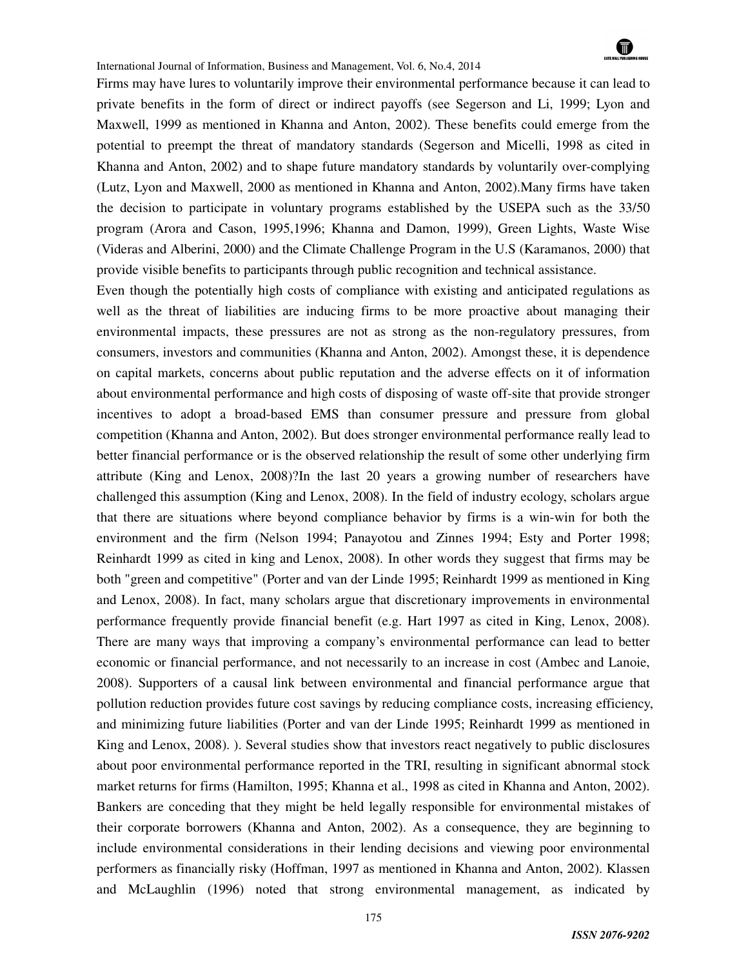

Firms may have lures to voluntarily improve their environmental performance because it can lead to private benefits in the form of direct or indirect payoffs (see Segerson and Li, 1999; Lyon and Maxwell, 1999 as mentioned in Khanna and Anton, 2002). These benefits could emerge from the potential to preempt the threat of mandatory standards (Segerson and Micelli, 1998 as cited in Khanna and Anton, 2002) and to shape future mandatory standards by voluntarily over-complying (Lutz, Lyon and Maxwell, 2000 as mentioned in Khanna and Anton, 2002).Many firms have taken the decision to participate in voluntary programs established by the USEPA such as the 33/50 program (Arora and Cason, 1995,1996; Khanna and Damon, 1999), Green Lights, Waste Wise (Videras and Alberini, 2000) and the Climate Challenge Program in the U.S (Karamanos, 2000) that provide visible benefits to participants through public recognition and technical assistance.

Even though the potentially high costs of compliance with existing and anticipated regulations as well as the threat of liabilities are inducing firms to be more proactive about managing their environmental impacts, these pressures are not as strong as the non-regulatory pressures, from consumers, investors and communities (Khanna and Anton, 2002). Amongst these, it is dependence on capital markets, concerns about public reputation and the adverse effects on it of information about environmental performance and high costs of disposing of waste off-site that provide stronger incentives to adopt a broad-based EMS than consumer pressure and pressure from global competition (Khanna and Anton, 2002). But does stronger environmental performance really lead to better financial performance or is the observed relationship the result of some other underlying firm attribute (King and Lenox, 2008)?In the last 20 years a growing number of researchers have challenged this assumption (King and Lenox, 2008). In the field of industry ecology, scholars argue that there are situations where beyond compliance behavior by firms is a win-win for both the environment and the firm (Nelson 1994; Panayotou and Zinnes 1994; Esty and Porter 1998; Reinhardt 1999 as cited in king and Lenox, 2008). In other words they suggest that firms may be both "green and competitive" (Porter and van der Linde 1995; Reinhardt 1999 as mentioned in King and Lenox, 2008). In fact, many scholars argue that discretionary improvements in environmental performance frequently provide financial benefit (e.g. Hart 1997 as cited in King, Lenox, 2008). There are many ways that improving a company's environmental performance can lead to better economic or financial performance, and not necessarily to an increase in cost (Ambec and Lanoie, 2008). Supporters of a causal link between environmental and financial performance argue that pollution reduction provides future cost savings by reducing compliance costs, increasing efficiency, and minimizing future liabilities (Porter and van der Linde 1995; Reinhardt 1999 as mentioned in King and Lenox, 2008). ). Several studies show that investors react negatively to public disclosures about poor environmental performance reported in the TRI, resulting in significant abnormal stock market returns for firms (Hamilton, 1995; Khanna et al., 1998 as cited in Khanna and Anton, 2002). Bankers are conceding that they might be held legally responsible for environmental mistakes of their corporate borrowers (Khanna and Anton, 2002). As a consequence, they are beginning to include environmental considerations in their lending decisions and viewing poor environmental performers as financially risky (Hoffman, 1997 as mentioned in Khanna and Anton, 2002). Klassen and McLaughlin (1996) noted that strong environmental management, as indicated by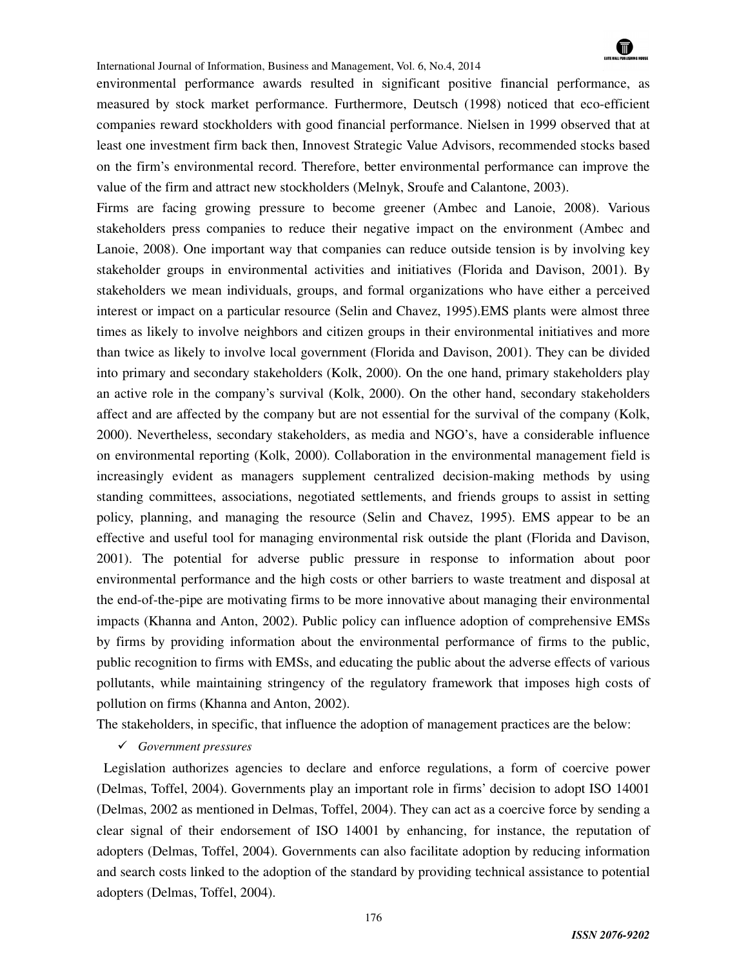environmental performance awards resulted in significant positive financial performance, as measured by stock market performance. Furthermore, Deutsch (1998) noticed that eco-efficient companies reward stockholders with good financial performance. Nielsen in 1999 observed that at least one investment firm back then, Innovest Strategic Value Advisors, recommended stocks based on the firm's environmental record. Therefore, better environmental performance can improve the value of the firm and attract new stockholders (Melnyk, Sroufe and Calantone, 2003).

Firms are facing growing pressure to become greener (Ambec and Lanoie, 2008). Various stakeholders press companies to reduce their negative impact on the environment (Ambec and Lanoie, 2008). One important way that companies can reduce outside tension is by involving key stakeholder groups in environmental activities and initiatives (Florida and Davison, 2001). By stakeholders we mean individuals, groups, and formal organizations who have either a perceived interest or impact on a particular resource (Selin and Chavez, 1995).EMS plants were almost three times as likely to involve neighbors and citizen groups in their environmental initiatives and more than twice as likely to involve local government (Florida and Davison, 2001). They can be divided into primary and secondary stakeholders (Kolk, 2000). On the one hand, primary stakeholders play an active role in the company's survival (Kolk, 2000). On the other hand, secondary stakeholders affect and are affected by the company but are not essential for the survival of the company (Kolk, 2000). Nevertheless, secondary stakeholders, as media and NGO's, have a considerable influence on environmental reporting (Kolk, 2000). Collaboration in the environmental management field is increasingly evident as managers supplement centralized decision-making methods by using standing committees, associations, negotiated settlements, and friends groups to assist in setting policy, planning, and managing the resource (Selin and Chavez, 1995). EMS appear to be an effective and useful tool for managing environmental risk outside the plant (Florida and Davison, 2001). The potential for adverse public pressure in response to information about poor environmental performance and the high costs or other barriers to waste treatment and disposal at the end-of-the-pipe are motivating firms to be more innovative about managing their environmental impacts (Khanna and Anton, 2002). Public policy can influence adoption of comprehensive EMSs by firms by providing information about the environmental performance of firms to the public, public recognition to firms with EMSs, and educating the public about the adverse effects of various pollutants, while maintaining stringency of the regulatory framework that imposes high costs of pollution on firms (Khanna and Anton, 2002).

The stakeholders, in specific, that influence the adoption of management practices are the below:

- *Government pressures* 

 Legislation authorizes agencies to declare and enforce regulations, a form of coercive power (Delmas, Toffel, 2004). Governments play an important role in firms' decision to adopt ISO 14001 (Delmas, 2002 as mentioned in Delmas, Toffel, 2004). They can act as a coercive force by sending a clear signal of their endorsement of ISO 14001 by enhancing, for instance, the reputation of adopters (Delmas, Toffel, 2004). Governments can also facilitate adoption by reducing information and search costs linked to the adoption of the standard by providing technical assistance to potential adopters (Delmas, Toffel, 2004).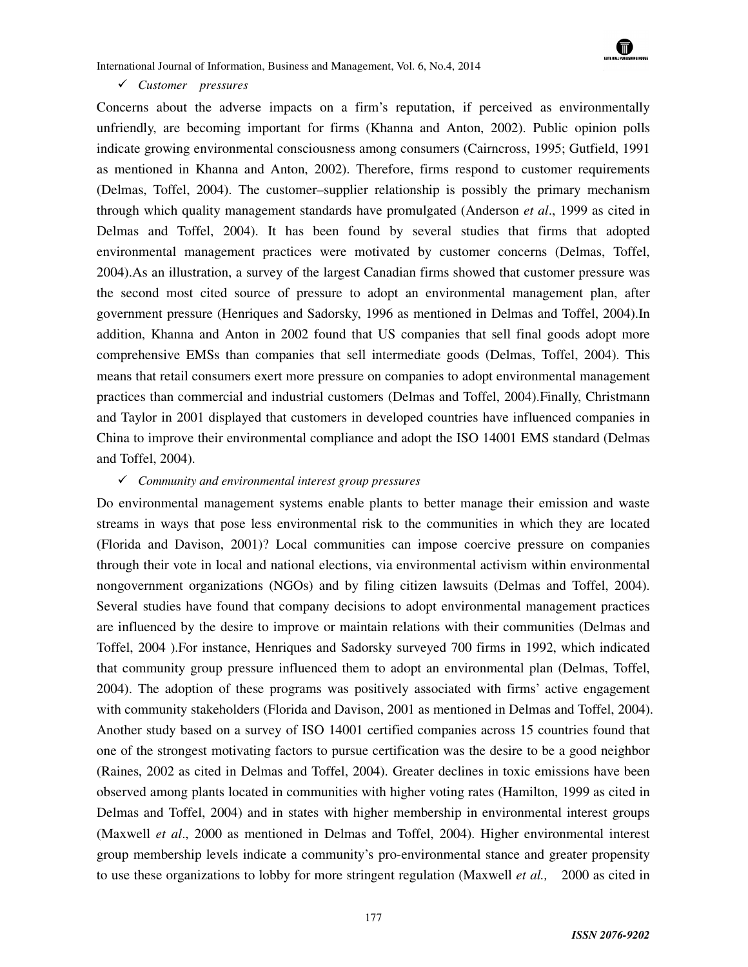### - *Customer pressures*

Concerns about the adverse impacts on a firm's reputation, if perceived as environmentally unfriendly, are becoming important for firms (Khanna and Anton, 2002). Public opinion polls indicate growing environmental consciousness among consumers (Cairncross, 1995; Gutfield, 1991 as mentioned in Khanna and Anton, 2002). Therefore, firms respond to customer requirements (Delmas, Toffel, 2004). The customer–supplier relationship is possibly the primary mechanism through which quality management standards have promulgated (Anderson *et al*., 1999 as cited in Delmas and Toffel, 2004). It has been found by several studies that firms that adopted environmental management practices were motivated by customer concerns (Delmas, Toffel, 2004).As an illustration, a survey of the largest Canadian firms showed that customer pressure was the second most cited source of pressure to adopt an environmental management plan, after government pressure (Henriques and Sadorsky, 1996 as mentioned in Delmas and Toffel, 2004).In addition, Khanna and Anton in 2002 found that US companies that sell final goods adopt more comprehensive EMSs than companies that sell intermediate goods (Delmas, Toffel, 2004). This means that retail consumers exert more pressure on companies to adopt environmental management practices than commercial and industrial customers (Delmas and Toffel, 2004).Finally, Christmann and Taylor in 2001 displayed that customers in developed countries have influenced companies in China to improve their environmental compliance and adopt the ISO 14001 EMS standard (Delmas and Toffel, 2004).

## - *Community and environmental interest group pressures*

Do environmental management systems enable plants to better manage their emission and waste streams in ways that pose less environmental risk to the communities in which they are located (Florida and Davison, 2001)? Local communities can impose coercive pressure on companies through their vote in local and national elections, via environmental activism within environmental nongovernment organizations (NGOs) and by filing citizen lawsuits (Delmas and Toffel, 2004). Several studies have found that company decisions to adopt environmental management practices are influenced by the desire to improve or maintain relations with their communities (Delmas and Toffel, 2004 ).For instance, Henriques and Sadorsky surveyed 700 firms in 1992, which indicated that community group pressure influenced them to adopt an environmental plan (Delmas, Toffel, 2004). The adoption of these programs was positively associated with firms' active engagement with community stakeholders (Florida and Davison, 2001 as mentioned in Delmas and Toffel, 2004). Another study based on a survey of ISO 14001 certified companies across 15 countries found that one of the strongest motivating factors to pursue certification was the desire to be a good neighbor (Raines, 2002 as cited in Delmas and Toffel, 2004). Greater declines in toxic emissions have been observed among plants located in communities with higher voting rates (Hamilton, 1999 as cited in Delmas and Toffel, 2004) and in states with higher membership in environmental interest groups (Maxwell *et al*., 2000 as mentioned in Delmas and Toffel, 2004). Higher environmental interest group membership levels indicate a community's pro-environmental stance and greater propensity to use these organizations to lobby for more stringent regulation (Maxwell *et al.,* 2000 as cited in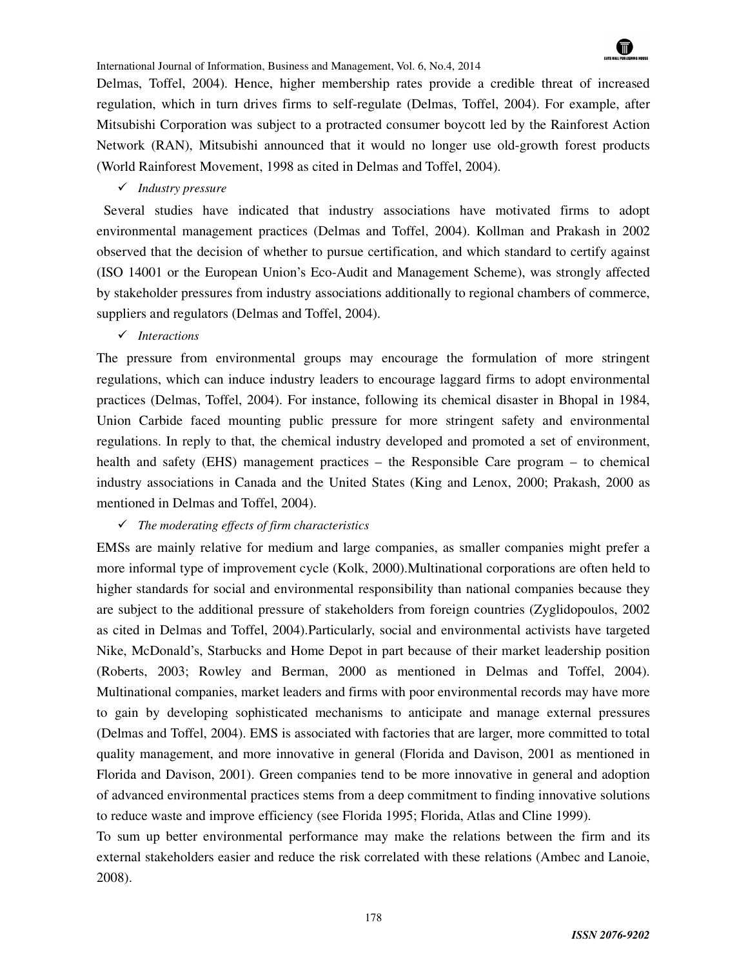

Delmas, Toffel, 2004). Hence, higher membership rates provide a credible threat of increased regulation, which in turn drives firms to self-regulate (Delmas, Toffel, 2004). For example, after Mitsubishi Corporation was subject to a protracted consumer boycott led by the Rainforest Action Network (RAN), Mitsubishi announced that it would no longer use old-growth forest products (World Rainforest Movement, 1998 as cited in Delmas and Toffel, 2004).

- *Industry pressure* 

 Several studies have indicated that industry associations have motivated firms to adopt environmental management practices (Delmas and Toffel, 2004). Kollman and Prakash in 2002 observed that the decision of whether to pursue certification, and which standard to certify against (ISO 14001 or the European Union's Eco-Audit and Management Scheme), was strongly affected by stakeholder pressures from industry associations additionally to regional chambers of commerce, suppliers and regulators (Delmas and Toffel, 2004).

- *Interactions* 

The pressure from environmental groups may encourage the formulation of more stringent regulations, which can induce industry leaders to encourage laggard firms to adopt environmental practices (Delmas, Toffel, 2004). For instance, following its chemical disaster in Bhopal in 1984, Union Carbide faced mounting public pressure for more stringent safety and environmental regulations. In reply to that, the chemical industry developed and promoted a set of environment, health and safety (EHS) management practices – the Responsible Care program – to chemical industry associations in Canada and the United States (King and Lenox, 2000; Prakash, 2000 as mentioned in Delmas and Toffel, 2004).

## - *The moderating effects of firm characteristics*

EMSs are mainly relative for medium and large companies, as smaller companies might prefer a more informal type of improvement cycle (Kolk, 2000).Multinational corporations are often held to higher standards for social and environmental responsibility than national companies because they are subject to the additional pressure of stakeholders from foreign countries (Zyglidopoulos, 2002 as cited in Delmas and Toffel, 2004).Particularly, social and environmental activists have targeted Nike, McDonald's, Starbucks and Home Depot in part because of their market leadership position (Roberts, 2003; Rowley and Berman, 2000 as mentioned in Delmas and Toffel, 2004). Multinational companies, market leaders and firms with poor environmental records may have more to gain by developing sophisticated mechanisms to anticipate and manage external pressures (Delmas and Toffel, 2004). EMS is associated with factories that are larger, more committed to total quality management, and more innovative in general (Florida and Davison, 2001 as mentioned in Florida and Davison, 2001). Green companies tend to be more innovative in general and adoption of advanced environmental practices stems from a deep commitment to finding innovative solutions to reduce waste and improve efficiency (see Florida 1995; Florida, Atlas and Cline 1999).

To sum up better environmental performance may make the relations between the firm and its external stakeholders easier and reduce the risk correlated with these relations (Ambec and Lanoie, 2008).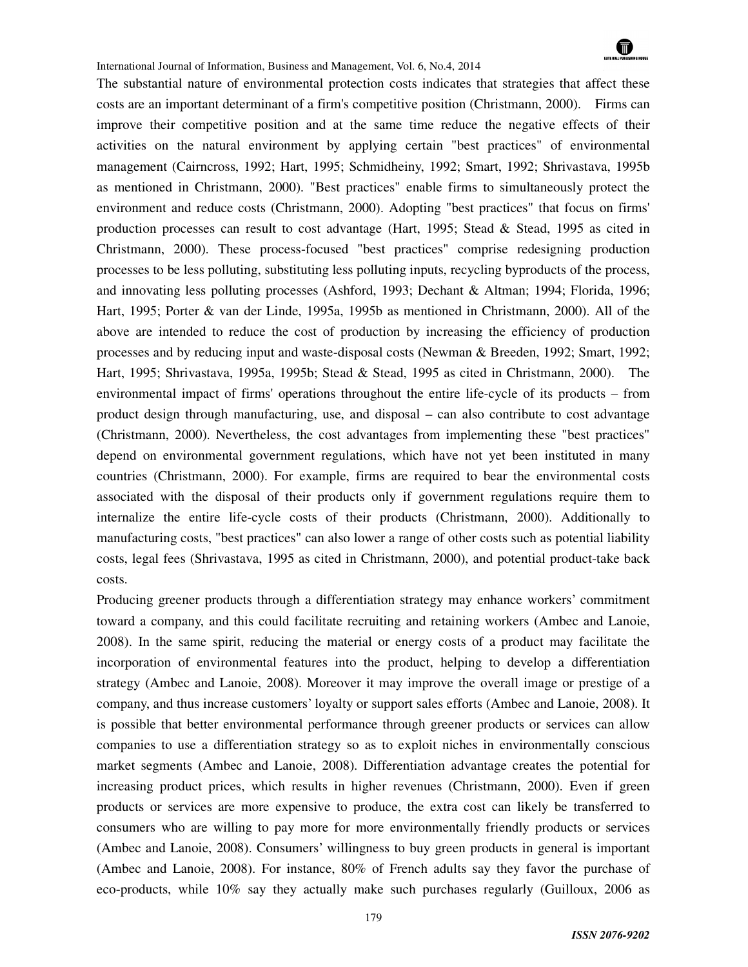

The substantial nature of environmental protection costs indicates that strategies that affect these costs are an important determinant of a firm's competitive position (Christmann, 2000). Firms can improve their competitive position and at the same time reduce the negative effects of their activities on the natural environment by applying certain "best practices" of environmental management (Cairncross, 1992; Hart, 1995; Schmidheiny, 1992; Smart, 1992; Shrivastava, 1995b as mentioned in Christmann, 2000). "Best practices" enable firms to simultaneously protect the environment and reduce costs (Christmann, 2000). Adopting "best practices" that focus on firms' production processes can result to cost advantage (Hart, 1995; Stead & Stead, 1995 as cited in Christmann, 2000). These process-focused "best practices" comprise redesigning production processes to be less polluting, substituting less polluting inputs, recycling byproducts of the process, and innovating less polluting processes (Ashford, 1993; Dechant & Altman; 1994; Florida, 1996; Hart, 1995; Porter & van der Linde, 1995a, 1995b as mentioned in Christmann, 2000). All of the above are intended to reduce the cost of production by increasing the efficiency of production processes and by reducing input and waste-disposal costs (Newman & Breeden, 1992; Smart, 1992; Hart, 1995; Shrivastava, 1995a, 1995b; Stead & Stead, 1995 as cited in Christmann, 2000). The environmental impact of firms' operations throughout the entire life-cycle of its products – from product design through manufacturing, use, and disposal – can also contribute to cost advantage (Christmann, 2000). Nevertheless, the cost advantages from implementing these "best practices" depend on environmental government regulations, which have not yet been instituted in many countries (Christmann, 2000). For example, firms are required to bear the environmental costs associated with the disposal of their products only if government regulations require them to internalize the entire life-cycle costs of their products (Christmann, 2000). Additionally to manufacturing costs, "best practices" can also lower a range of other costs such as potential liability costs, legal fees (Shrivastava, 1995 as cited in Christmann, 2000), and potential product-take back costs.

Producing greener products through a differentiation strategy may enhance workers' commitment toward a company, and this could facilitate recruiting and retaining workers (Ambec and Lanoie, 2008). In the same spirit, reducing the material or energy costs of a product may facilitate the incorporation of environmental features into the product, helping to develop a differentiation strategy (Ambec and Lanoie, 2008). Moreover it may improve the overall image or prestige of a company, and thus increase customers' loyalty or support sales efforts (Ambec and Lanoie, 2008). It is possible that better environmental performance through greener products or services can allow companies to use a differentiation strategy so as to exploit niches in environmentally conscious market segments (Ambec and Lanoie, 2008). Differentiation advantage creates the potential for increasing product prices, which results in higher revenues (Christmann, 2000). Even if green products or services are more expensive to produce, the extra cost can likely be transferred to consumers who are willing to pay more for more environmentally friendly products or services (Ambec and Lanoie, 2008). Consumers' willingness to buy green products in general is important (Ambec and Lanoie, 2008). For instance, 80% of French adults say they favor the purchase of eco-products, while 10% say they actually make such purchases regularly (Guilloux, 2006 as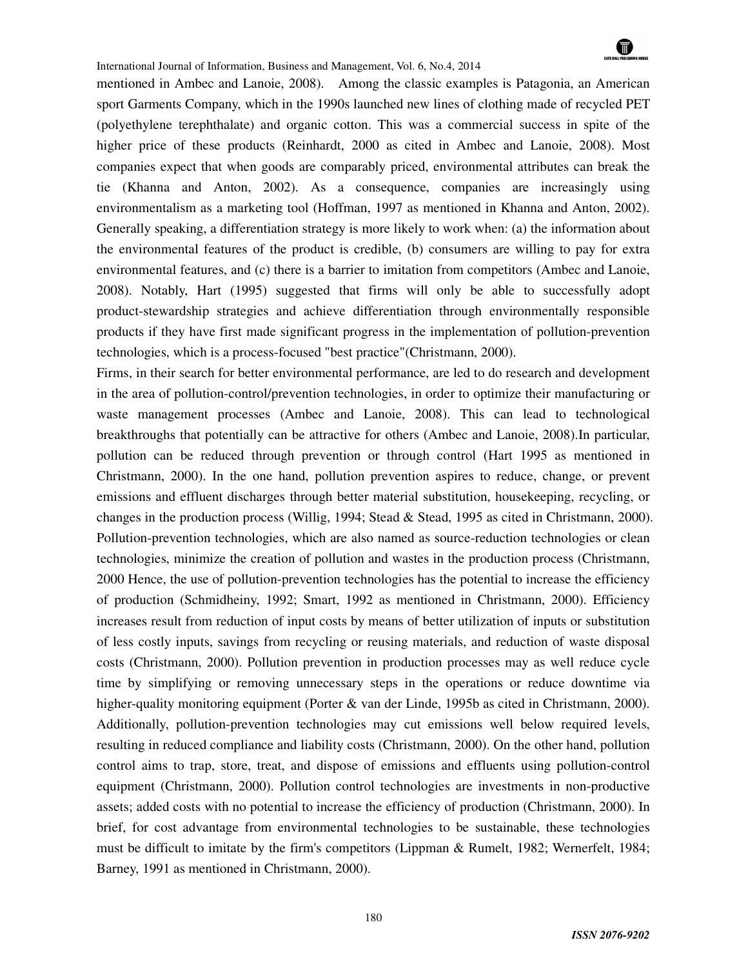

mentioned in Ambec and Lanoie, 2008). Among the classic examples is Patagonia, an American sport Garments Company, which in the 1990s launched new lines of clothing made of recycled PET (polyethylene terephthalate) and organic cotton. This was a commercial success in spite of the higher price of these products (Reinhardt, 2000 as cited in Ambec and Lanoie, 2008). Most companies expect that when goods are comparably priced, environmental attributes can break the tie (Khanna and Anton, 2002). As a consequence, companies are increasingly using environmentalism as a marketing tool (Hoffman, 1997 as mentioned in Khanna and Anton, 2002). Generally speaking, a differentiation strategy is more likely to work when: (a) the information about the environmental features of the product is credible, (b) consumers are willing to pay for extra environmental features, and (c) there is a barrier to imitation from competitors (Ambec and Lanoie, 2008). Notably, Hart (1995) suggested that firms will only be able to successfully adopt product-stewardship strategies and achieve differentiation through environmentally responsible products if they have first made significant progress in the implementation of pollution-prevention technologies, which is a process-focused "best practice"(Christmann, 2000).

Firms, in their search for better environmental performance, are led to do research and development in the area of pollution-control/prevention technologies, in order to optimize their manufacturing or waste management processes (Ambec and Lanoie, 2008). This can lead to technological breakthroughs that potentially can be attractive for others (Ambec and Lanoie, 2008).In particular, pollution can be reduced through prevention or through control (Hart 1995 as mentioned in Christmann, 2000). In the one hand, pollution prevention aspires to reduce, change, or prevent emissions and effluent discharges through better material substitution, housekeeping, recycling, or changes in the production process (Willig, 1994; Stead & Stead, 1995 as cited in Christmann, 2000). Pollution-prevention technologies, which are also named as source-reduction technologies or clean technologies, minimize the creation of pollution and wastes in the production process (Christmann, 2000 Hence, the use of pollution-prevention technologies has the potential to increase the efficiency of production (Schmidheiny, 1992; Smart, 1992 as mentioned in Christmann, 2000). Efficiency increases result from reduction of input costs by means of better utilization of inputs or substitution of less costly inputs, savings from recycling or reusing materials, and reduction of waste disposal costs (Christmann, 2000). Pollution prevention in production processes may as well reduce cycle time by simplifying or removing unnecessary steps in the operations or reduce downtime via higher-quality monitoring equipment (Porter & van der Linde, 1995b as cited in Christmann, 2000). Additionally, pollution-prevention technologies may cut emissions well below required levels, resulting in reduced compliance and liability costs (Christmann, 2000). On the other hand, pollution control aims to trap, store, treat, and dispose of emissions and effluents using pollution-control equipment (Christmann, 2000). Pollution control technologies are investments in non-productive assets; added costs with no potential to increase the efficiency of production (Christmann, 2000). In brief, for cost advantage from environmental technologies to be sustainable, these technologies must be difficult to imitate by the firm's competitors (Lippman & Rumelt, 1982; Wernerfelt, 1984; Barney, 1991 as mentioned in Christmann, 2000).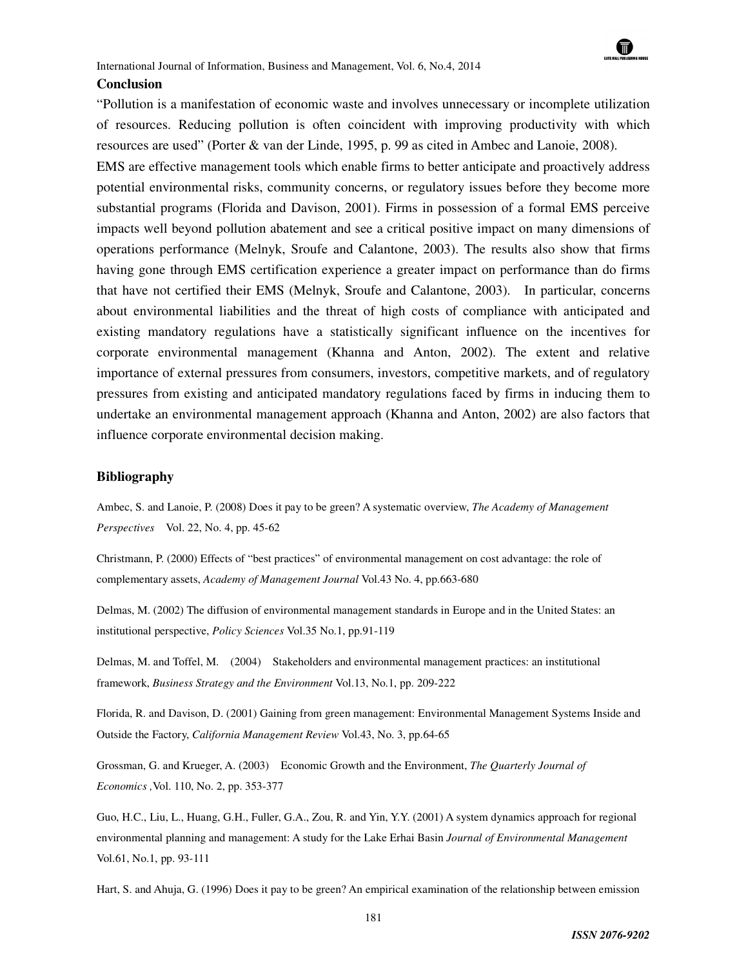#### **Conclusion**

"Pollution is a manifestation of economic waste and involves unnecessary or incomplete utilization of resources. Reducing pollution is often coincident with improving productivity with which resources are used" (Porter & van der Linde, 1995, p. 99 as cited in Ambec and Lanoie, 2008). EMS are effective management tools which enable firms to better anticipate and proactively address potential environmental risks, community concerns, or regulatory issues before they become more substantial programs (Florida and Davison, 2001). Firms in possession of a formal EMS perceive impacts well beyond pollution abatement and see a critical positive impact on many dimensions of operations performance (Melnyk, Sroufe and Calantone, 2003). The results also show that firms having gone through EMS certification experience a greater impact on performance than do firms that have not certified their EMS (Melnyk, Sroufe and Calantone, 2003). In particular, concerns about environmental liabilities and the threat of high costs of compliance with anticipated and existing mandatory regulations have a statistically significant influence on the incentives for corporate environmental management (Khanna and Anton, 2002). The extent and relative importance of external pressures from consumers, investors, competitive markets, and of regulatory

pressures from existing and anticipated mandatory regulations faced by firms in inducing them to undertake an environmental management approach (Khanna and Anton, 2002) are also factors that influence corporate environmental decision making.

#### **Bibliography**

Ambec, S. and Lanoie, P. (2008) Does it pay to be green? A systematic overview, *The Academy of Management Perspectives* Vol. 22, No. 4, pp. 45-62

Christmann, P. (2000) Effects of "best practices" of environmental management on cost advantage: the role of complementary assets, *Academy of Management Journal* Vol.43 No. 4, pp.663-680

Delmas, M. (2002) The diffusion of environmental management standards in Europe and in the United States: an institutional perspective, *Policy Sciences* Vol.35 No.1, pp.91-119

Delmas, M. and Toffel, M. (2004) Stakeholders and environmental management practices: an institutional framework, *Business Strategy and the Environment* Vol.13, No.1, pp. 209-222

Florida, R. and Davison, D. (2001) Gaining from green management: Environmental Management Systems Inside and Outside the Factory, *California Management Review* Vol.43, No. 3, pp.64-65

Grossman, G. and Krueger, A. (2003) Economic Growth and the Environment, *The Quarterly Journal of Economics ,*Vol. 110, No. 2, pp. 353-377

Guo, H.C., Liu, L., Huang, G.H., Fuller, G.A., Zou, R. and Yin, Y.Y. (2001) A system dynamics approach for regional environmental planning and management: A study for the Lake Erhai Basin *Journal of Environmental Management*  Vol.61, No.1, pp. 93-111

Hart, S. and Ahuja, G. (1996) Does it pay to be green? An empirical examination of the relationship between emission